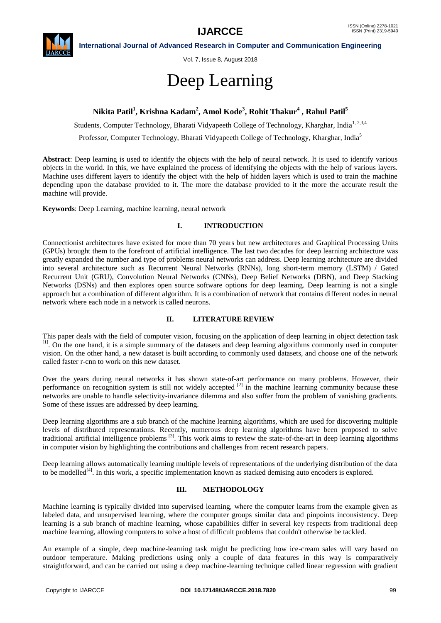

**International Journal of Advanced Research in Computer and Communication Engineering**

Vol. 7, Issue 8, August 2018

# Deep Learning

# **Nikita Patil<sup>1</sup> , Krishna Kadam<sup>2</sup> , Amol Kode<sup>3</sup> , Rohit Thakur 4 , Rahul Patil<sup>5</sup>**

Students, Computer Technology, Bharati Vidyapeeth College of Technology, Kharghar, India<sup>1, 2,3,4</sup>

Professor, Computer Technology, Bharati Vidyapeeth College of Technology, Kharghar, India<sup>5</sup>

**Abstract**: Deep learning is used to identify the objects with the help of neural network. It is used to identify various objects in the world. In this, we have explained the process of identifying the objects with the help of various layers. Machine uses different layers to identify the object with the help of hidden layers which is used to train the machine depending upon the database provided to it. The more the database provided to it the more the accurate result the machine will provide.

**Keywords**: Deep Learning, machine learning, neural network

## **I. INTRODUCTION**

Connectionist architectures have existed for more than 70 years but new architectures and Graphical Processing Units (GPUs) brought them to the forefront of artificial intelligence. The last two decades for deep learning architecture was greatly expanded the number and type of problems neural networks can address. Deep learning architecture are divided into several architecture such as Recurrent Neural Networks (RNNs), long short-term memory (LSTM) / Gated Recurrent Unit (GRU), Convolution Neural Networks (CNNs), Deep Belief Networks (DBN), and Deep Stacking Networks (DSNs) and then explores open source software options for deep learning. Deep learning is not a single approach but a combination of different algorithm. It is a combination of network that contains different nodes in neural network where each node in a network is called neurons.

### **II. LITERATURE REVIEW**

This paper deals with the field of computer vision, focusing on the application of deep learning in object detection task [1]. On the one hand, it is a simple summary of the datasets and deep learning algorithms commonly used in computer vision. On the other hand, a new dataset is built according to commonly used datasets, and choose one of the network called faster r-cnn to work on this new dataset.

Over the years during neural networks it has shown state-of-art performance on many problems. However, their performance on recognition system is still not widely accepted <sup>[2]</sup> in the machine learning community because these networks are unable to handle selectivity-invariance dilemma and also suffer from the problem of vanishing gradients. Some of these issues are addressed by deep learning.

Deep learning algorithms are a sub branch of the machine learning algorithms, which are used for discovering multiple levels of distributed representations. Recently, numerous deep learning algorithms have been proposed to solve traditional artificial intelligence problems [3]. This work aims to review the state-of-the-art in deep learning algorithms in computer vision by highlighting the contributions and challenges from recent research papers.

Deep learning allows automatically learning multiple levels of representations of the underlying distribution of the data to be modelled<sup>[4]</sup>. In this work, a specific implementation known as stacked demising auto encoders is explored.

# **III. METHODOLOGY**

Machine learning is typically divided into supervised learning, where the computer learns from the example given as labeled data, and unsupervised learning, where the computer groups similar data and pinpoints inconsistency. Deep learning is a sub branch of machine learning, whose capabilities differ in several key respects from traditional deep machine learning, allowing computers to solve a host of difficult problems that couldn't otherwise be tackled.

An example of a simple, deep machine-learning task might be predicting how ice-cream sales will vary based on outdoor temperature. Making predictions using only a couple of data features in this way is comparatively straightforward, and can be carried out using a deep machine-learning technique called linear regression with gradient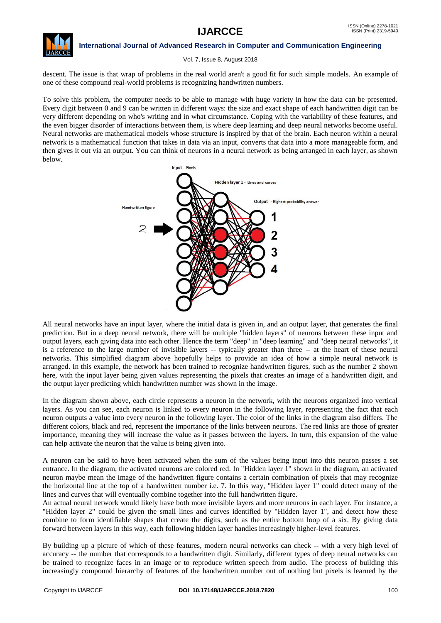

#### **International Journal of Advanced Research in Computer and Communication Engineering**

#### Vol. 7, Issue 8, August 2018

descent. The issue is that wrap of problems in the real world aren't a good fit for such simple models. An example of one of these compound real-world problems is recognizing handwritten numbers.

To solve this problem, the computer needs to be able to manage with huge variety in how the data can be presented. Every digit between 0 and 9 can be written in different ways: the size and exact shape of each handwritten digit can be very different depending on who's writing and in what circumstance. Coping with the variability of these features, and the even bigger disorder of interactions between them, is where deep learning and deep neural networks become useful. Neural networks are mathematical models whose structure is inspired by that of the brain. Each neuron within a neural network is a mathematical function that takes in data via an input, converts that data into a more manageable form, and then gives it out via an output. You can think of neurons in a neural network as being arranged in each layer, as shown below.



All neural networks have an input layer, where the initial data is given in, and an output layer, that generates the final prediction. But in a deep neural network, there will be multiple "hidden layers" of neurons between these input and output layers, each giving data into each other. Hence the term "deep" in "deep learning" and "deep neural networks", it is a reference to the large number of invisible layers -- typically greater than three -- at the heart of these neural networks. This simplified diagram above hopefully helps to provide an idea of how a simple neural network is arranged. In this example, the network has been trained to recognize handwritten figures, such as the number 2 shown here, with the input layer being given values representing the pixels that creates an image of a handwritten digit, and the output layer predicting which handwritten number was shown in the image.

In the diagram shown above, each circle represents a neuron in the network, with the neurons organized into vertical layers. As you can see, each neuron is linked to every neuron in the following layer, representing the fact that each neuron outputs a value into every neuron in the following layer. The color of the links in the diagram also differs. The different colors, black and red, represent the importance of the links between neurons. The red links are those of greater importance, meaning they will increase the value as it passes between the layers. In turn, this expansion of the value can help activate the neuron that the value is being given into.

A neuron can be said to have been activated when the sum of the values being input into this neuron passes a set entrance. In the diagram, the activated neurons are colored red. In "Hidden layer 1" shown in the diagram, an activated neuron maybe mean the image of the handwritten figure contains a certain combination of pixels that may recognize the horizontal line at the top of a handwritten number i.e. 7. In this way, "Hidden layer 1" could detect many of the lines and curves that will eventually combine together into the full handwritten figure.

An actual neural network would likely have both more invisible layers and more neurons in each layer. For instance, a "Hidden layer 2" could be given the small lines and curves identified by "Hidden layer 1", and detect how these combine to form identifiable shapes that create the digits, such as the entire bottom loop of a six. By giving data forward between layers in this way, each following hidden layer handles increasingly higher-level features.

By building up a picture of which of these features, modern neural networks can check -- with a very high level of accuracy -- the number that corresponds to a handwritten digit. Similarly, different types of deep neural networks can be trained to recognize faces in an image or to reproduce written speech from audio. The process of building this increasingly compound hierarchy of features of the handwritten number out of nothing but pixels is learned by the